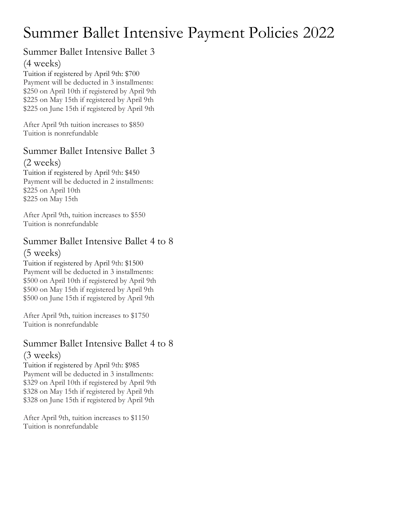# Summer Ballet Intensive Payment Policies 2022

### Summer Ballet Intensive Ballet 3 (4 weeks)

Tuition if registered by April 9th: \$700 Payment will be deducted in 3 installments: \$250 on April 10th if registered by April 9th \$225 on May 15th if registered by April 9th \$225 on June 15th if registered by April 9th

After April 9th tuition increases to \$850 Tuition is nonrefundable

# Summer Ballet Intensive Ballet 3

(2 weeks) Tuition if registered by April 9th: \$450 Payment will be deducted in 2 installments: \$225 on April 10th \$225 on May 15th

After April 9th, tuition increases to \$550 Tuition is nonrefundable

# Summer Ballet Intensive Ballet 4 to 8

#### (5 weeks)

Tuition if registered by April 9th: \$1500 Payment will be deducted in 3 installments: \$500 on April 10th if registered by April 9th \$500 on May 15th if registered by April 9th \$500 on June 15th if registered by April 9th

After April 9th, tuition increases to \$1750 Tuition is nonrefundable

## Summer Ballet Intensive Ballet 4 to 8 (3 weeks)

Tuition if registered by April 9th: \$985 Payment will be deducted in 3 installments: \$329 on April 10th if registered by April 9th \$328 on May 15th if registered by April 9th \$328 on June 15th if registered by April 9th

After April 9th, tuition increases to \$1150 Tuition is nonrefundable